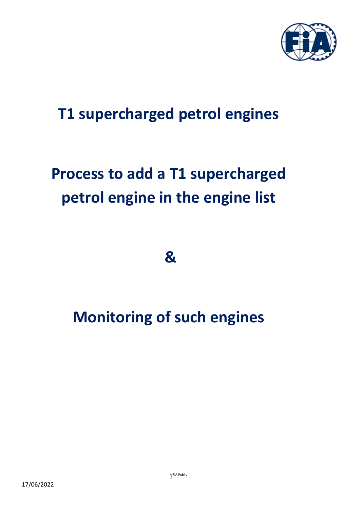

## **T1 supercharged petrol engines**

# **Process to add a T1 supercharged petrol engine in the engine list**

**&** 

## **Monitoring of such engines**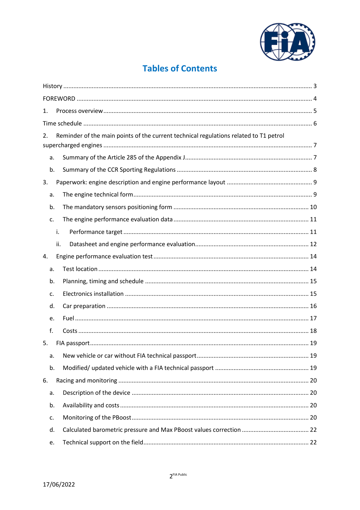

## **Tables of Contents**

|    | 1.  |                                                                                       |  |  |  |
|----|-----|---------------------------------------------------------------------------------------|--|--|--|
|    |     |                                                                                       |  |  |  |
| 2. |     | Reminder of the main points of the current technical regulations related to T1 petrol |  |  |  |
|    |     |                                                                                       |  |  |  |
|    | a.  |                                                                                       |  |  |  |
|    | b.  |                                                                                       |  |  |  |
| 3. |     |                                                                                       |  |  |  |
|    | a.  |                                                                                       |  |  |  |
|    | b.  |                                                                                       |  |  |  |
|    | c.  |                                                                                       |  |  |  |
|    | i.  |                                                                                       |  |  |  |
|    | ii. |                                                                                       |  |  |  |
| 4. |     |                                                                                       |  |  |  |
|    | a.  |                                                                                       |  |  |  |
|    | b.  |                                                                                       |  |  |  |
|    | c.  |                                                                                       |  |  |  |
|    | d.  |                                                                                       |  |  |  |
|    | e.  |                                                                                       |  |  |  |
|    | f.  |                                                                                       |  |  |  |
| 5. |     |                                                                                       |  |  |  |
|    | a.  |                                                                                       |  |  |  |
|    | b.  |                                                                                       |  |  |  |
| 6. |     |                                                                                       |  |  |  |
|    | a.  |                                                                                       |  |  |  |
|    | b.  |                                                                                       |  |  |  |
|    | c.  |                                                                                       |  |  |  |
|    | d.  |                                                                                       |  |  |  |
|    | e.  |                                                                                       |  |  |  |
|    |     |                                                                                       |  |  |  |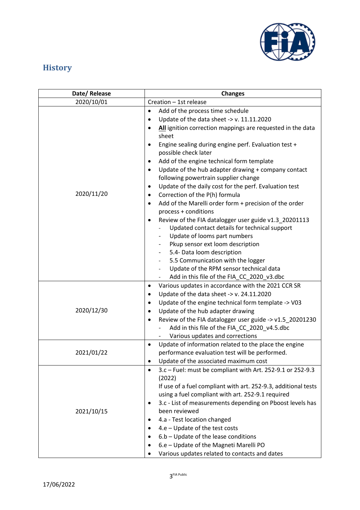

## <span id="page-2-0"></span>**History**

| Date/Release | <b>Changes</b>                                                                  |  |  |
|--------------|---------------------------------------------------------------------------------|--|--|
| 2020/10/01   | Creation - 1st release                                                          |  |  |
|              | Add of the process time schedule<br>$\bullet$                                   |  |  |
|              | Update of the data sheet -> $v. 11.11.2020$<br>$\bullet$                        |  |  |
|              | All ignition correction mappings are requested in the data<br>$\bullet$         |  |  |
|              | sheet                                                                           |  |  |
|              | Engine sealing during engine perf. Evaluation test +<br>$\bullet$               |  |  |
|              | possible check later                                                            |  |  |
|              | Add of the engine technical form template<br>٠                                  |  |  |
|              | Update of the hub adapter drawing + company contact<br>٠                        |  |  |
|              | following powertrain supplier change                                            |  |  |
|              | Update of the daily cost for the perf. Evaluation test<br>٠                     |  |  |
| 2020/11/20   | Correction of the P(h) formula<br>$\bullet$                                     |  |  |
|              | Add of the Marelli order form + precision of the order<br>٠                     |  |  |
|              | process + conditions                                                            |  |  |
|              | Review of the FIA datalogger user guide v1.3_20201113                           |  |  |
|              | Updated contact details for technical support                                   |  |  |
|              | Update of looms part numbers                                                    |  |  |
|              | Pkup sensor ext loom description                                                |  |  |
|              | 5.4- Data loom description                                                      |  |  |
|              | 5.5 Communication with the logger<br>$\overline{\phantom{a}}$                   |  |  |
|              | Update of the RPM sensor technical data                                         |  |  |
|              | Add in this file of the FIA_CC_2020_v3.dbc                                      |  |  |
|              | Various updates in accordance with the 2021 CCR SR<br>٠                         |  |  |
|              | Update of the data sheet -> $v. 24.11.2020$<br>٠                                |  |  |
|              | Update of the engine technical form template -> V03<br>٠                        |  |  |
| 2020/12/30   | Update of the hub adapter drawing                                               |  |  |
|              | Review of the FIA datalogger user guide -> v1.5_20201230<br>$\bullet$           |  |  |
|              | Add in this file of the FIA_CC_2020_v4.5.dbc                                    |  |  |
|              | Various updates and corrections                                                 |  |  |
|              | Update of information related to the place the engine<br>$\bullet$              |  |  |
| 2021/01/22   | performance evaluation test will be performed.                                  |  |  |
|              | Update of the associated maximum cost                                           |  |  |
|              | 3.c - Fuel: must be compliant with Art. 252-9.1 or 252-9.3<br>٠                 |  |  |
|              | (2022)                                                                          |  |  |
|              | If use of a fuel compliant with art. 252-9.3, additional tests                  |  |  |
|              | using a fuel compliant with art. 252-9.1 required                               |  |  |
|              | 3.c - List of measurements depending on Pboost levels has<br>٠<br>been reviewed |  |  |
| 2021/10/15   |                                                                                 |  |  |
|              | 4.a - Test location changed<br>٠                                                |  |  |
|              | 4.e - Update of the test costs<br>٠                                             |  |  |
|              | 6.b - Update of the lease conditions                                            |  |  |
|              | 6.e - Update of the Magneti Marelli PO                                          |  |  |
|              | Various updates related to contacts and dates                                   |  |  |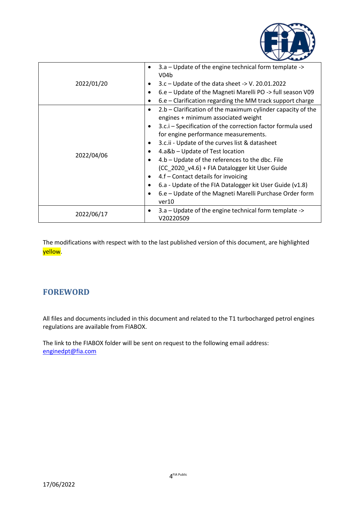

|            | 3.a – Update of the engine technical form template -><br>V <sub>04b</sub> |
|------------|---------------------------------------------------------------------------|
| 2022/01/20 | $3.c$ – Update of the data sheet -> V. 20.01.2022                         |
|            | 6.e – Update of the Magneti Marelli PO -> full season V09<br>٠            |
|            | $6.e$ – Clarification regarding the MM track support charge<br>٠          |
|            | $2.b$ – Clarification of the maximum cylinder capacity of the<br>٠        |
|            | engines + minimum associated weight                                       |
|            | 3.c.i – Specification of the correction factor formula used<br>٠          |
|            | for engine performance measurements.                                      |
|            | 3.c.ii - Update of the curves list & datasheet                            |
| 2022/04/06 | 4.a&b - Update of Test location                                           |
|            | 4.b – Update of the references to the dbc. File                           |
|            | (CC_2020_v4.6) + FIA Datalogger kit User Guide                            |
|            | 4.f - Contact details for invoicing                                       |
|            | 6.a - Update of the FIA Datalogger kit User Guide (v1.8)                  |
|            | 6.e – Update of the Magneti Marelli Purchase Order form                   |
|            | ver10                                                                     |
| 2022/06/17 | 3.a – Update of the engine technical form template ->                     |
|            | V20220509                                                                 |

The modifications with respect with to the last published version of this document, are highlighted yellow.

## <span id="page-3-0"></span>**FOREWORD**

All files and documents included in this document and related to the T1 turbocharged petrol engines regulations are available from FIABOX.

The link to the FIABOX folder will be sent on request to the following email address: [enginedpt@fia.com](mailto:enginedpt@fia.com)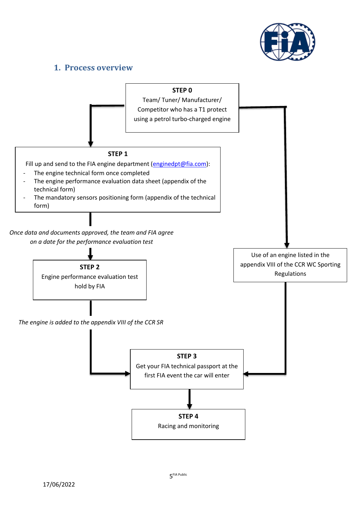

### <span id="page-4-0"></span>**1. Process overview**



5 FIA Public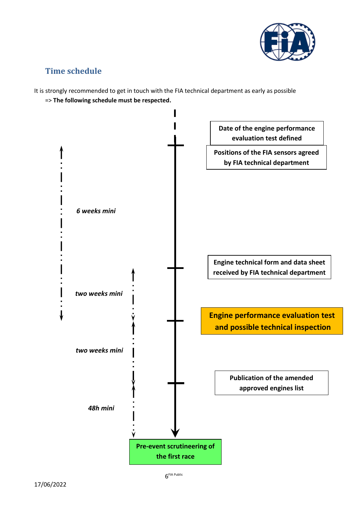

## <span id="page-5-0"></span>**Time schedule**

It is strongly recommended to get in touch with the FIA technical department as early as possible

=> **The following schedule must be respected.**

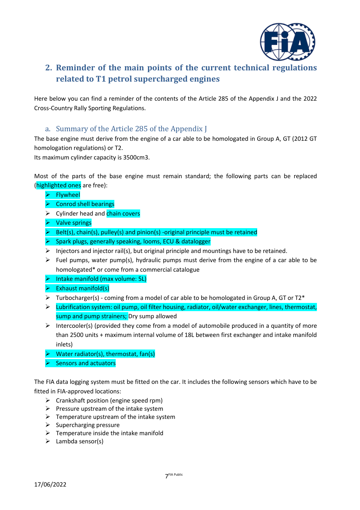

## <span id="page-6-0"></span>**2. Reminder of the main points of the current technical regulations related to T1 petrol supercharged engines**

Here below you can find a reminder of the contents of the Article 285 of the Appendix J and the 2022 Cross-Country Rally Sporting Regulations.

#### a. Summary of the Article 285 of the Appendix J

<span id="page-6-1"></span>The base engine must derive from the engine of a car able to be homologated in Group A, GT (2012 GT homologation regulations) or T2.

Its maximum cylinder capacity is 3500cm3.

Most of the parts of the base engine must remain standard; the following parts can be replaced (highlighted ones are free):

- ➢ Flywheel
- $\triangleright$  Conrod shell bearings
- **►** Cylinder head and chain covers
- ➢ Valve springs
- $\triangleright$  Belt(s), chain(s), pulley(s) and pinion(s) -original principle must be retained
- ➢ Spark plugs, generally speaking, looms, ECU & datalogger
- $\triangleright$  Injectors and injector rail(s), but original principle and mountings have to be retained.
- $\triangleright$  Fuel pumps, water pump(s), hydraulic pumps must derive from the engine of a car able to be homologated\* or come from a commercial catalogue
- ➢ Intake manifold (max volume: 5L)
- $\triangleright$  Exhaust manifold(s)
- $\triangleright$  Turbocharger(s) coming from a model of car able to be homologated in Group A, GT or T2\*
- ➢ Lubrification system: oil pump, oil filter housing, radiator, oil/water exchanger, lines, thermostat, sump and pump strainers; Dry sump allowed
- $\triangleright$  Intercooler(s) (provided they come from a model of automobile produced in a quantity of more than 2500 units + maximum internal volume of 18L between first exchanger and intake manifold inlets)
- $\triangleright$  Water radiator(s), thermostat, fan(s)
- $\triangleright$  Sensors and actuators

The FIA data logging system must be fitted on the car. It includes the following sensors which have to be fitted in FIA-approved locations:

- $\triangleright$  Crankshaft position (engine speed rpm)
- $\triangleright$  Pressure upstream of the intake system
- $\triangleright$  Temperature upstream of the intake system
- $\triangleright$  Supercharging pressure
- $\triangleright$  Temperature inside the intake manifold
- $\triangleright$  Lambda sensor(s)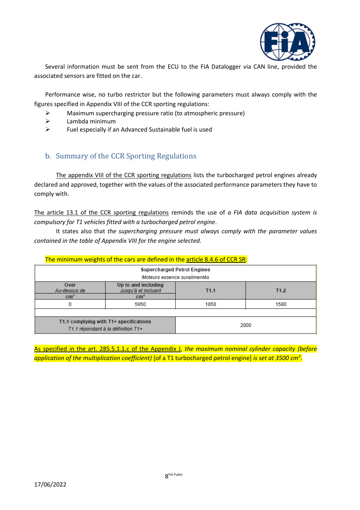

Several information must be sent from the ECU to the FIA Datalogger via CAN line, provided the associated sensors are fitted on the car.

Performance wise, no turbo restrictor but the following parameters must always comply with the figures specified in Appendix VIII of the CCR sporting regulations:

- ➢ Maximum supercharging pressure ratio (to atmospheric pressure)
- $\triangleright$  Lambda minimum
- ➢ Fuel especially if an Advanced Sustainable fuel is used

#### <span id="page-7-0"></span>b. Summary of the CCR Sporting Regulations

The appendix VIII of the CCR sporting regulations lists the turbocharged petrol engines already declared and approved, together with the values of the associated performance parameters they have to comply with.

The article 13.1 of the CCR sporting regulations reminds the use of *a FIA data acquisition system is compulsory for T1 vehicles fitted with a turbocharged petrol engine*.

It states also that *the supercharging pressure must always comply with the parameter values contained in the table of Appendix VIII for the engine selected.*

| <u>THE INIMIDIAL WEIGHTS OF the cars are defined in the article 6.4.0 OF CCN JN.</u> |                                                               |                  |                  |
|--------------------------------------------------------------------------------------|---------------------------------------------------------------|------------------|------------------|
| <b>Supercharged Petrol Engines</b><br>Moteurs essence suralimentés                   |                                                               |                  |                  |
| Over<br>Au-dessus de<br>cm <sup>3</sup>                                              | Up to and including<br>Jusqu'à et incluant<br>cm <sup>3</sup> | T <sub>1.1</sub> | T <sub>1.2</sub> |
| 0                                                                                    | 5950                                                          | 1850             | 1580             |
|                                                                                      |                                                               |                  |                  |
| T1.1 complying with T1+ specifications<br>T1.1 répondant à la définition T1+         |                                                               | 2000             |                  |

The minimum weights of the cars are defined in the article  $8.4.6$  of CCR SR:

As specified in the art. 285.5.1.1.c of the Appendix J, *the maximum nominal cylinder capacity (before*  application of the multiplication coefficient) [of a T1 turbocharged petrol engine] is set at 3500 cm<sup>3</sup>.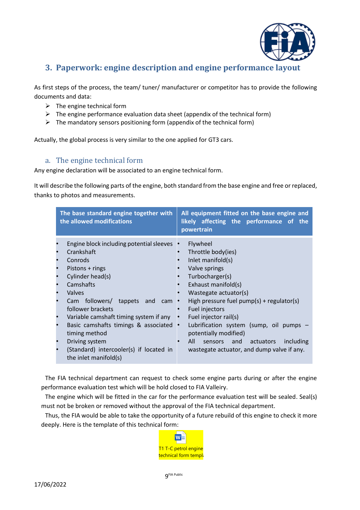

## <span id="page-8-0"></span>**3. Paperwork: engine description and engine performance layout**

As first steps of the process, the team/ tuner/ manufacturer or competitor has to provide the following documents and data:

- $\triangleright$  The engine technical form
- $\triangleright$  The engine performance evaluation data sheet (appendix of the technical form)
- $\triangleright$  The mandatory sensors positioning form (appendix of the technical form)

Actually, the global process is very similar to the one applied for GT3 cars.

#### <span id="page-8-1"></span>a. The engine technical form

Any engine declaration will be associated to an engine technical form.

It will describe the following parts of the engine, both standard from the base engine and free or replaced, thanks to photos and measurements.

| The base standard engine together with<br>the allowed modifications                                                                                                                                                                                                                                                                                                                                                            |                         | All equipment fitted on the base engine and<br>likely affecting the performance of the<br>powertrain                                                                                                                                                                                                                                                                                               |  |
|--------------------------------------------------------------------------------------------------------------------------------------------------------------------------------------------------------------------------------------------------------------------------------------------------------------------------------------------------------------------------------------------------------------------------------|-------------------------|----------------------------------------------------------------------------------------------------------------------------------------------------------------------------------------------------------------------------------------------------------------------------------------------------------------------------------------------------------------------------------------------------|--|
| Engine block including potential sleeves<br>Crankshaft<br>Conrods<br>Pistons + rings<br>$\bullet$<br>Cylinder head(s)<br>Camshafts<br>$\bullet$<br>Valves<br>Cam followers/<br>tappets<br>follower brackets<br>Variable camshaft timing system if any<br>Basic camshafts timings & associated<br>$\bullet$<br>timing method<br>Driving system<br>(Standard) intercooler(s) if located in<br>$\bullet$<br>the inlet manifold(s) | and<br>cam<br>$\bullet$ | Flywheel<br>Throttle body(ies)<br>Inlet manifold(s)<br>Valve springs<br>Turbocharger(s)<br>Exhaust manifold(s)<br>Wastegate actuator(s)<br>High pressure fuel $pump(s) + regular(s)$<br>Fuel injectors<br>Fuel injector rail(s)<br>Lubrification system (sump, oil pumps<br>potentially modified)<br>All<br>including<br>and<br>actuators<br>sensors<br>wastegate actuator, and dump valve if any. |  |

The FIA technical department can request to check some engine parts during or after the engine performance evaluation test which will be hold closed to FIA Valleiry.

The engine which will be fitted in the car for the performance evaluation test will be sealed. Seal(s) must not be broken or removed without the approval of the FIA technical department.

Thus, the FIA would be able to take the opportunity of a future rebuild of this engine to check it more deeply. Here is the template of this technical form:

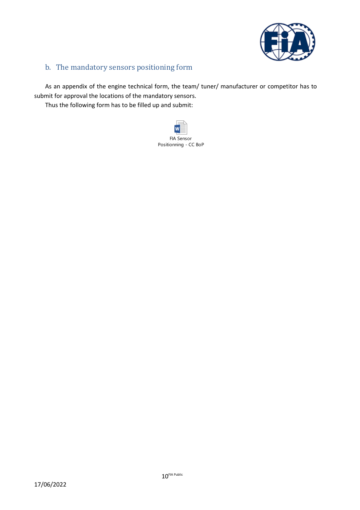

#### <span id="page-9-0"></span>b. The mandatory sensors positioning form

As an appendix of the engine technical form, the team/ tuner/ manufacturer or competitor has to submit for approval the locations of the mandatory sensors.

Thus the following form has to be filled up and submit:

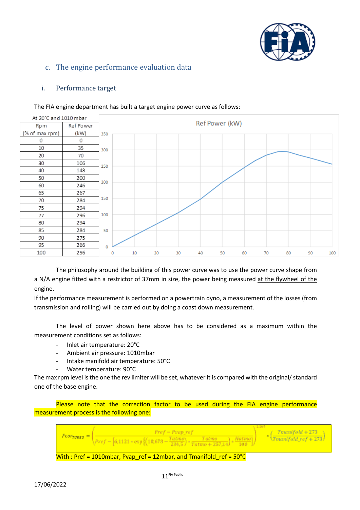

#### <span id="page-10-0"></span>c. The engine performance evaluation data

#### <span id="page-10-1"></span>i. Performance target



#### The FIA engine department has built a target engine power curve as follows:

The philosophy around the building of this power curve was to use the power curve shape from a N/A engine fitted with a restrictor of 37mm in size, the power being measured at the flywheel of the engine.

If the performance measurement is performed on a powertrain dyno, a measurement of the losses (from transmission and rolling) will be carried out by doing a coast down measurement.

The level of power shown here above has to be considered as a maximum within the measurement conditions set as follows:

- Inlet air temperature: 20°C
- Ambient air pressure: 1010mbar
- Intake manifold air temperature: 50°C
- Water temperature: 90°C

The max rpm level is the one the rev limiter will be set, whatever it is compared with the original/ standard one of the base engine.

Please note that the correction factor to be used during the FIA engine performance measurement process is the following one:

|                                                                               | $Pref-Pvap\; ref$<br>$\sqrt{rref - [6,1121 * exp{[(18,678 - Tatmo)} + Tatmo - Tatmo + 257,14]}}$ + $\frac{Hatmo}{100}$ | $\cdot \left( \frac{Tmanifold + 273}{Tmanifold\_ref + 273} \right)$ |  |
|-------------------------------------------------------------------------------|------------------------------------------------------------------------------------------------------------------------|---------------------------------------------------------------------|--|
| With : Pref = 1010mbar, Pvap ref = 12mbar, and Tmanifold ref = $50^{\circ}$ C |                                                                                                                        |                                                                     |  |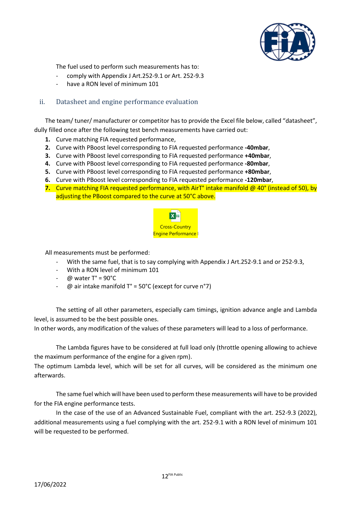

The fuel used to perform such measurements has to:

- comply with Appendix J Art.252-9.1 or Art. 252-9.3
- have a RON level of minimum 101

#### <span id="page-11-0"></span>ii. Datasheet and engine performance evaluation

The team/ tuner/ manufacturer or competitor has to provide the Excel file below, called "datasheet", dully filled once after the following test bench measurements have carried out:

- **1.** Curve matching FIA requested performance,
- **2.** Curve with PBoost level corresponding to FIA requested performance **-40mbar**,
- **3.** Curve with PBoost level corresponding to FIA requested performance **+40mbar**,
- **4.** Curve with PBoost level corresponding to FIA requested performance **-80mbar**,
- **5.** Curve with PBoost level corresponding to FIA requested performance **+80mbar**,
- **6.** Curve with PBoost level corresponding to FIA requested performance **-120mbar**,
- **7.** Curve matching FIA requested performance, with AirT° intake manifold @ 40° (instead of 50), by adjusting the PBoost compared to the curve at 50°C above.



All measurements must be performed:

- With the same fuel, that is to say complying with Appendix J Art.252-9.1 and or 252-9.3,
- With a RON level of minimum 101
- $\omega$  water T° = 90°C
- $\omega$  air intake manifold T° = 50°C (except for curve n°7)

The setting of all other parameters, especially cam timings, ignition advance angle and Lambda level, is assumed to be the best possible ones.

In other words, any modification of the values of these parameters will lead to a loss of performance.

The Lambda figures have to be considered at full load only (throttle opening allowing to achieve the maximum performance of the engine for a given rpm).

The optimum Lambda level, which will be set for all curves, will be considered as the minimum one afterwards.

The same fuel which will have been used to perform these measurements will have to be provided for the FIA engine performance tests.

In the case of the use of an Advanced Sustainable Fuel, compliant with the art. 252-9.3 (2022), additional measurements using a fuel complying with the art. 252-9.1 with a RON level of minimum 101 will be requested to be performed.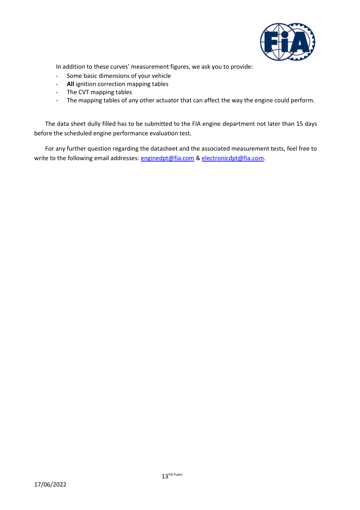

In addition to these curves' measurement figures, we ask you to provide:

- Some basic dimensions of your vehicle
- **All** ignition correction mapping tables
- The CVT mapping tables
- The mapping tables of any other actuator that can affect the way the engine could perform.

The data sheet dully filled has to be submitted to the FIA engine department not later than 15 days before the scheduled engine performance evaluation test.

For any further question regarding the datasheet and the associated measurement tests, feel free to write to the following email addresses: [enginedpt@fia.com](mailto:enginedpt@fia.com) [& electronicdpt@fia.com.](mailto:enginedpt@fia.com)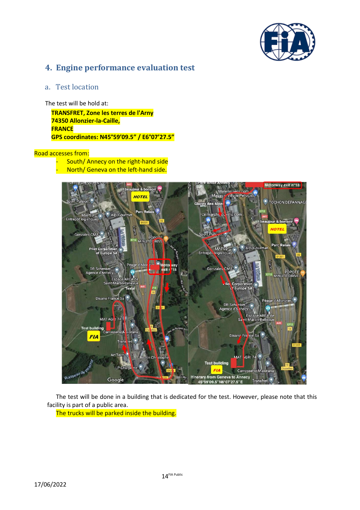

### <span id="page-13-0"></span>**4. Engine performance evaluation test**

#### <span id="page-13-1"></span>a. Test location

The test will be hold at:

**TRANSFRET, Zone les terres de l'Arny 74350 Allonzier-la-Caille, FRANCE GPS coordinates: N45°59'09.5" / E6°07'27.5"**

#### Road accesses from:

- South/ Annecy on the right-hand side
- North/ Geneva on the left-hand side.



The test will be done in a building that is dedicated for the test. However, please note that this facility is part of a public area.

The trucks will be parked inside the building.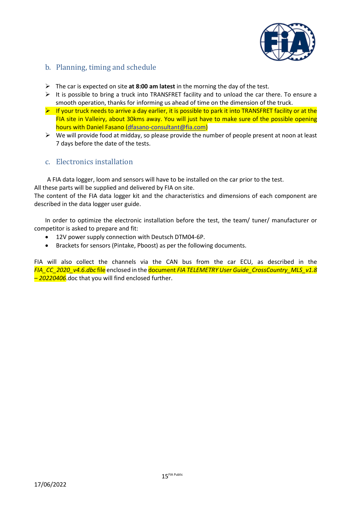

#### <span id="page-14-0"></span>b. Planning, timing and schedule

- ➢ The car is expected on site **at 8:00 am latest** in the morning the day of the test.
- $\triangleright$  It is possible to bring a truck into TRANSFRET facility and to unload the car there. To ensure a smooth operation, thanks for informing us ahead of time on the dimension of the truck.
- $\triangleright$  If your truck needs to arrive a day earlier, it is possible to park it into TRANSFRET facility or at the FIA site in Valleiry, about 30kms away. You will just have to make sure of the possible opening hours with Daniel Fasano [\(dfasano-consultant@fia.com\)](mailto:dfasano-consultant@fia.com)
- $\triangleright$  We will provide food at midday, so please provide the number of people present at noon at least 7 days before the date of the tests.

#### <span id="page-14-1"></span>c. Electronics installation

A FIA data logger, loom and sensors will have to be installed on the car prior to the test.

All these parts will be supplied and delivered by FIA on site.

The content of the FIA data logger kit and the characteristics and dimensions of each component are described in the data logger user guide.

In order to optimize the electronic installation before the test, the team/ tuner/ manufacturer or competitor is asked to prepare and fit:

- 12V power supply connection with Deutsch DTM04-6P.
- Brackets for sensors (Pintake, Pboost) as per the following documents.

FIA will also collect the channels via the CAN bus from the car ECU, as described in the *FIA\_CC\_2020\_v4.6.dbc* file enclosed in the document *FIA TELEMETRY User Guide\_CrossCountry\_MLS\_v1.8 – 20220406*.doc that you will find enclosed further.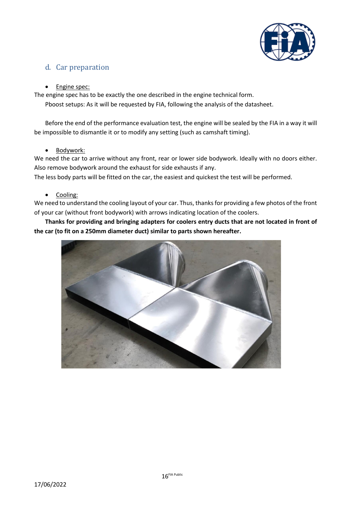

#### <span id="page-15-0"></span>d. Car preparation

#### • Engine spec:

The engine spec has to be exactly the one described in the engine technical form.

Pboost setups: As it will be requested by FIA, following the analysis of the datasheet.

Before the end of the performance evaluation test, the engine will be sealed by the FIA in a way it will be impossible to dismantle it or to modify any setting (such as camshaft timing).

#### • Bodywork:

We need the car to arrive without any front, rear or lower side bodywork. Ideally with no doors either. Also remove bodywork around the exhaust for side exhausts if any.

The less body parts will be fitted on the car, the easiest and quickest the test will be performed.

#### • Cooling:

We need to understand the cooling layout of your car. Thus, thanks for providing a few photos of the front of your car (without front bodywork) with arrows indicating location of the coolers.

**Thanks for providing and bringing adapters for coolers entry ducts that are not located in front of the car (to fit on a 250mm diameter duct) similar to parts shown hereafter.**

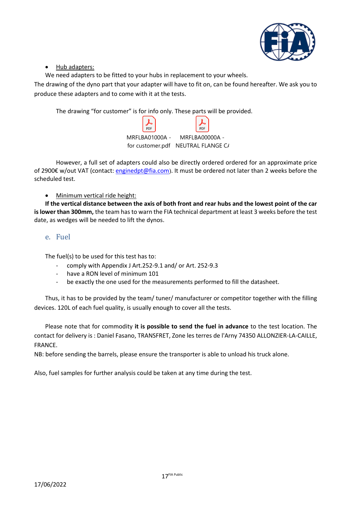

#### • Hub adapters:

We need adapters to be fitted to your hubs in replacement to your wheels.

The drawing of the dyno part that your adapter will have to fit on, can be found hereafter. We ask you to produce these adapters and to come with it at the tests.

The drawing "for customer" is for info only. These parts will be provided.

| PDF                                |  |
|------------------------------------|--|
| MRFLBA01000A - MRFLBA00000A -      |  |
| for customer.pdf NEUTRAL FLANGE C/ |  |

However, a full set of adapters could also be directly ordered ordered for an approximate price of 2900€ w/out VAT (contact: [enginedpt@fia.com](mailto:enginedpt@fia.com)). It must be ordered not later than 2 weeks before the scheduled test.

#### • Minimum vertical ride height:

**If the vertical distance between the axis of both front and rear hubs and the lowest point of the car is lower than 300mm,** the team has to warn the FIA technical department at least 3 weeks before the test date, as wedges will be needed to lift the dynos.

#### <span id="page-16-0"></span>e. Fuel

The fuel(s) to be used for this test has to:

- comply with Appendix J Art.252-9.1 and/ or Art. 252-9.3
- have a RON level of minimum 101
- be exactly the one used for the measurements performed to fill the datasheet.

Thus, it has to be provided by the team/ tuner/ manufacturer or competitor together with the filling devices. 120L of each fuel quality, is usually enough to cover all the tests.

Please note that for commodity **it is possible to send the fuel in advance** to the test location. The contact for delivery is : Daniel Fasano, TRANSFRET, Zone les terres de l'Arny 74350 ALLONZIER-LA-CAILLE, FRANCE.

NB: before sending the barrels, please ensure the transporter is able to unload his truck alone.

Also, fuel samples for further analysis could be taken at any time during the test.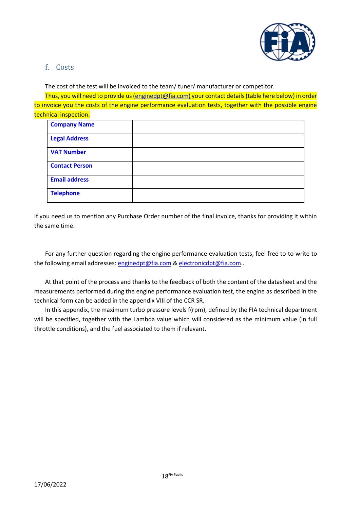

#### <span id="page-17-0"></span>f. Costs

The cost of the test will be invoiced to the team/ tuner/ manufacturer or competitor.

Thus, you will need to provide us [\(enginedpt@fia.com\)](mailto:enginedpt@fia.com) your contact details (table here below) in order to invoice you the costs of the engine performance evaluation tests, together with the possible engine technical inspection.

| <b>Company Name</b>   |  |
|-----------------------|--|
| <b>Legal Address</b>  |  |
| <b>VAT Number</b>     |  |
| <b>Contact Person</b> |  |
| <b>Email address</b>  |  |
| <b>Telephone</b>      |  |

If you need us to mention any Purchase Order number of the final invoice, thanks for providing it within the same time.

For any further question regarding the engine performance evaluation tests, feel free to to write to the following email addresses: [enginedpt@fia.com](mailto:enginedpt@fia.com) & [electronicdpt@fia.com.](mailto:enginedpt@fia.com).

At that point of the process and thanks to the feedback of both the content of the datasheet and the measurements performed during the engine performance evaluation test, the engine as described in the technical form can be added in the appendix VIII of the CCR SR.

In this appendix, the maximum turbo pressure levels f(rpm), defined by the FIA technical department will be specified, together with the Lambda value which will considered as the minimum value (in full throttle conditions), and the fuel associated to them if relevant.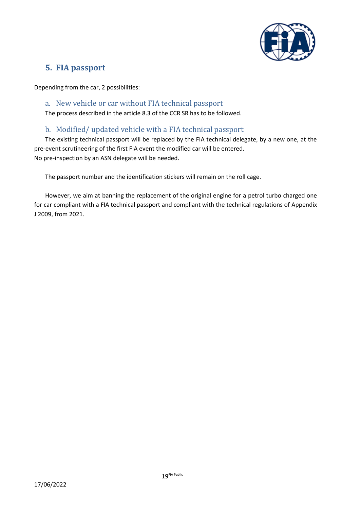

## <span id="page-18-0"></span>**5. FIA passport**

Depending from the car, 2 possibilities:

#### <span id="page-18-1"></span>a. New vehicle or car without FIA technical passport

The process described in the article 8.3 of the CCR SR has to be followed.

#### b. Modified/ updated vehicle with a FIA technical passport

<span id="page-18-2"></span>The existing technical passport will be replaced by the FIA technical delegate, by a new one, at the pre-event scrutineering of the first FIA event the modified car will be entered. No pre-inspection by an ASN delegate will be needed.

The passport number and the identification stickers will remain on the roll cage.

However, we aim at banning the replacement of the original engine for a petrol turbo charged one for car compliant with a FIA technical passport and compliant with the technical regulations of Appendix J 2009, from 2021.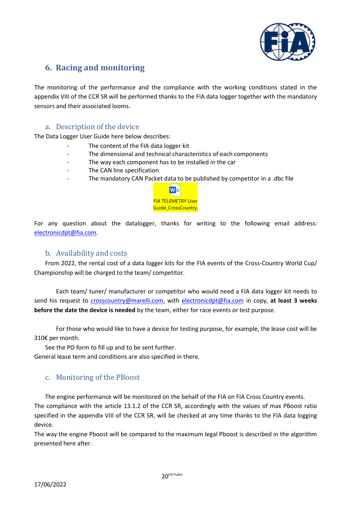

## <span id="page-19-0"></span>**6. Racing and monitoring**

The monitoring of the performance and the compliance with the working conditions stated in the appendix VIII of the CCR SR will be performed thanks to the FIA data logger together with the mandatory sensors and their associated looms.

#### a. Description of the device

<span id="page-19-1"></span>The Data Logger User Guide here below describes:

- The content of the FIA data logger kit
- The dimensional and technical characteristics of each components
- The way each component has to be installed in the car
- The CAN line specification
- The mandatory CAN Packet data to be published by competitor in a .dbc file



For any question about the datalogger, thanks for writing to the following email address: [electronicdpt@fia.com.](mailto:enginedpt@fia.com)

#### b. Availability and costs

<span id="page-19-2"></span>From 2022, the rental cost of a data logger kits for the FIA events of the Cross-Country World Cup/ Championship will be charged to the team/ competitor.

Each team/ tuner/ manufacturer or competitor who would need a FIA data logger kit needs to send his request to [crosscountry@marelli.com,](mailto:crosscountry@marelli.com) with [electronicdpt@fia.com](mailto:enginedpt@fia.com) in copy, **at least 3 weeks before the date the device is needed** by the team, either for race events or test purpose.

For those who would like to have a device for testing purpose, for example, the lease cost will be 310€ per month.

See the PO form to fill up and to be sent further.

General lease term and conditions are also specified in there.

#### <span id="page-19-3"></span>c. Monitoring of the PBoost

The engine performance will be monitored on the behalf of the FIA on FIA Cross Country events.

The compliance with the article 13.1.2 of the CCR SR, accordingly with the values of max PBoost ratio specified in the appendix VIII of the CCR SR, will be checked at any time thanks to the FIA data logging device.

The way the engine Pboost will be compared to the maximum legal Pboost is described in the algorithm presented here after.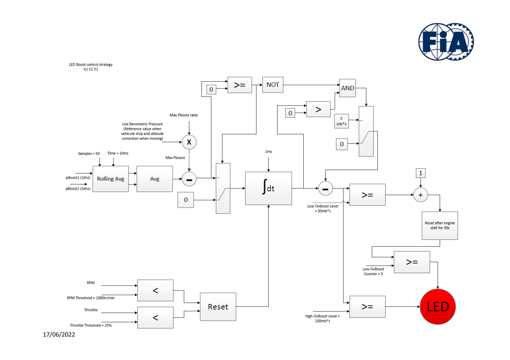



17/0 6/2022